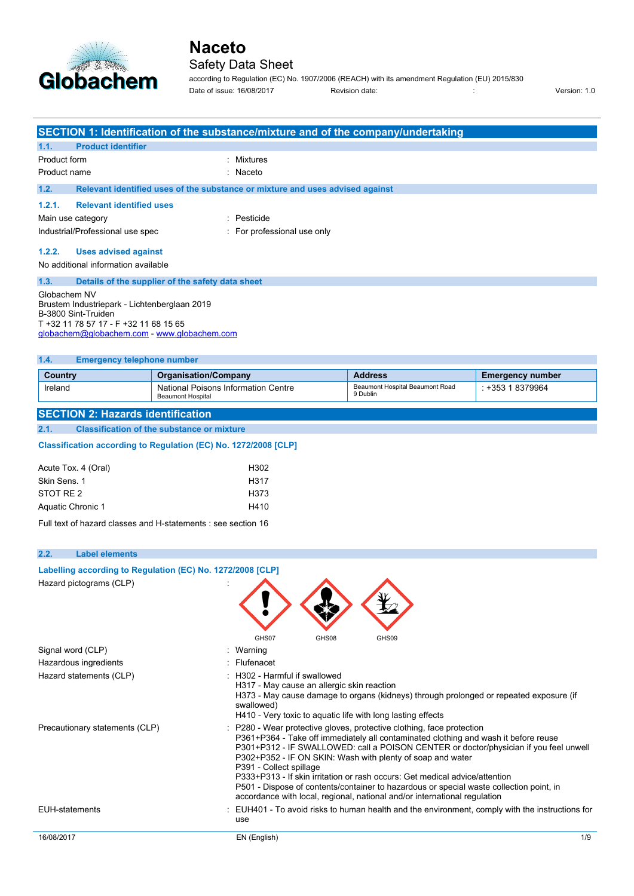

### Safety Data Sheet

according to Regulation (EC) No. 1907/2006 (REACH) with its amendment Regulation (EU) 2015/830 Date of issue: 16/08/2017 Revision date: : Version: 1.0

|                                                                 |                                                                        |                                                                               | SECTION 1: Identification of the substance/mixture and of the company/undertaking                                                                                    |                         |
|-----------------------------------------------------------------|------------------------------------------------------------------------|-------------------------------------------------------------------------------|----------------------------------------------------------------------------------------------------------------------------------------------------------------------|-------------------------|
| 1.1.<br><b>Product identifier</b>                               |                                                                        |                                                                               |                                                                                                                                                                      |                         |
| Product form                                                    |                                                                        | Mixtures                                                                      |                                                                                                                                                                      |                         |
| Product name                                                    |                                                                        | Naceto                                                                        |                                                                                                                                                                      |                         |
| 1.2.                                                            |                                                                        | Relevant identified uses of the substance or mixture and uses advised against |                                                                                                                                                                      |                         |
| 1.2.1.<br><b>Relevant identified uses</b>                       |                                                                        |                                                                               |                                                                                                                                                                      |                         |
| Main use category                                               |                                                                        | : Pesticide                                                                   |                                                                                                                                                                      |                         |
| Industrial/Professional use spec                                |                                                                        | : For professional use only                                                   |                                                                                                                                                                      |                         |
| 1.2.2.<br><b>Uses advised against</b>                           |                                                                        |                                                                               |                                                                                                                                                                      |                         |
| No additional information available                             |                                                                        |                                                                               |                                                                                                                                                                      |                         |
| 1.3.                                                            | Details of the supplier of the safety data sheet                       |                                                                               |                                                                                                                                                                      |                         |
| Globachem NV                                                    |                                                                        |                                                                               |                                                                                                                                                                      |                         |
| Brustem Industriepark - Lichtenberglaan 2019                    |                                                                        |                                                                               |                                                                                                                                                                      |                         |
| B-3800 Sint-Truiden<br>T +32 11 78 57 17 - F +32 11 68 15 65    |                                                                        |                                                                               |                                                                                                                                                                      |                         |
| globachem@globachem.com - www.globachem.com                     |                                                                        |                                                                               |                                                                                                                                                                      |                         |
|                                                                 |                                                                        |                                                                               |                                                                                                                                                                      |                         |
| 1.4.<br><b>Emergency telephone number</b>                       |                                                                        |                                                                               |                                                                                                                                                                      |                         |
| <b>Country</b>                                                  | <b>Organisation/Company</b>                                            |                                                                               | <b>Address</b>                                                                                                                                                       | <b>Emergency number</b> |
| Ireland                                                         | <b>National Poisons Information Centre</b><br><b>Beaumont Hospital</b> |                                                                               | Beaumont Hospital Beaumont Road<br>9 Dublin                                                                                                                          | : +353 1 8379964        |
|                                                                 |                                                                        |                                                                               |                                                                                                                                                                      |                         |
| <b>SECTION 2: Hazards identification</b>                        |                                                                        |                                                                               |                                                                                                                                                                      |                         |
| 2.1.                                                            | <b>Classification of the substance or mixture</b>                      |                                                                               |                                                                                                                                                                      |                         |
| Classification according to Regulation (EC) No. 1272/2008 [CLP] |                                                                        |                                                                               |                                                                                                                                                                      |                         |
| Acute Tox. 4 (Oral)                                             |                                                                        | H302                                                                          |                                                                                                                                                                      |                         |
| Skin Sens, 1                                                    |                                                                        | H317                                                                          |                                                                                                                                                                      |                         |
| STOT RE <sub>2</sub>                                            |                                                                        | H373                                                                          |                                                                                                                                                                      |                         |
| Aquatic Chronic 1                                               |                                                                        | H410                                                                          |                                                                                                                                                                      |                         |
| Full text of hazard classes and H-statements : see section 16   |                                                                        |                                                                               |                                                                                                                                                                      |                         |
|                                                                 |                                                                        |                                                                               |                                                                                                                                                                      |                         |
| <b>Label elements</b><br>2.2.                                   |                                                                        |                                                                               |                                                                                                                                                                      |                         |
| Labelling according to Regulation (EC) No. 1272/2008 [CLP]      |                                                                        |                                                                               |                                                                                                                                                                      |                         |
| Hazard pictograms (CLP)                                         |                                                                        |                                                                               |                                                                                                                                                                      |                         |
|                                                                 |                                                                        |                                                                               |                                                                                                                                                                      |                         |
|                                                                 |                                                                        |                                                                               |                                                                                                                                                                      |                         |
|                                                                 |                                                                        |                                                                               |                                                                                                                                                                      |                         |
|                                                                 |                                                                        | GHS07<br>GHS08                                                                | GHS09                                                                                                                                                                |                         |
| Signal word (CLP)                                               |                                                                        | : Warning                                                                     |                                                                                                                                                                      |                         |
| Hazardous ingredients                                           |                                                                        | : Flufenacet                                                                  |                                                                                                                                                                      |                         |
| Hazard statements (CLP)                                         |                                                                        | : H302 - Harmful if swallowed                                                 |                                                                                                                                                                      |                         |
|                                                                 |                                                                        | H317 - May cause an allergic skin reaction                                    |                                                                                                                                                                      |                         |
|                                                                 |                                                                        | swallowed)                                                                    | H373 - May cause damage to organs (kidneys) through prolonged or repeated exposure (if                                                                               |                         |
|                                                                 |                                                                        | H410 - Very toxic to aquatic life with long lasting effects                   |                                                                                                                                                                      |                         |
| Precautionary statements (CLP)                                  |                                                                        |                                                                               | : P280 - Wear protective gloves, protective clothing, face protection                                                                                                |                         |
|                                                                 |                                                                        |                                                                               | P361+P364 - Take off immediately all contaminated clothing and wash it before reuse                                                                                  |                         |
|                                                                 |                                                                        |                                                                               | P301+P312 - IF SWALLOWED: call a POISON CENTER or doctor/physician if you feel unwell<br>P302+P352 - IF ON SKIN: Wash with plenty of soap and water                  |                         |
|                                                                 |                                                                        | P391 - Collect spillage                                                       |                                                                                                                                                                      |                         |
|                                                                 |                                                                        |                                                                               | P333+P313 - If skin irritation or rash occurs: Get medical advice/attention                                                                                          |                         |
|                                                                 |                                                                        |                                                                               | P501 - Dispose of contents/container to hazardous or special waste collection point, in<br>accordance with local, regional, national and/or international regulation |                         |
| <b>EUH-statements</b>                                           |                                                                        |                                                                               | : EUH401 - To avoid risks to human health and the environment, comply with the instructions for                                                                      |                         |
|                                                                 |                                                                        | use                                                                           |                                                                                                                                                                      |                         |
| 16/08/2017                                                      |                                                                        | EN (English)                                                                  |                                                                                                                                                                      | 1/9                     |
|                                                                 |                                                                        |                                                                               |                                                                                                                                                                      |                         |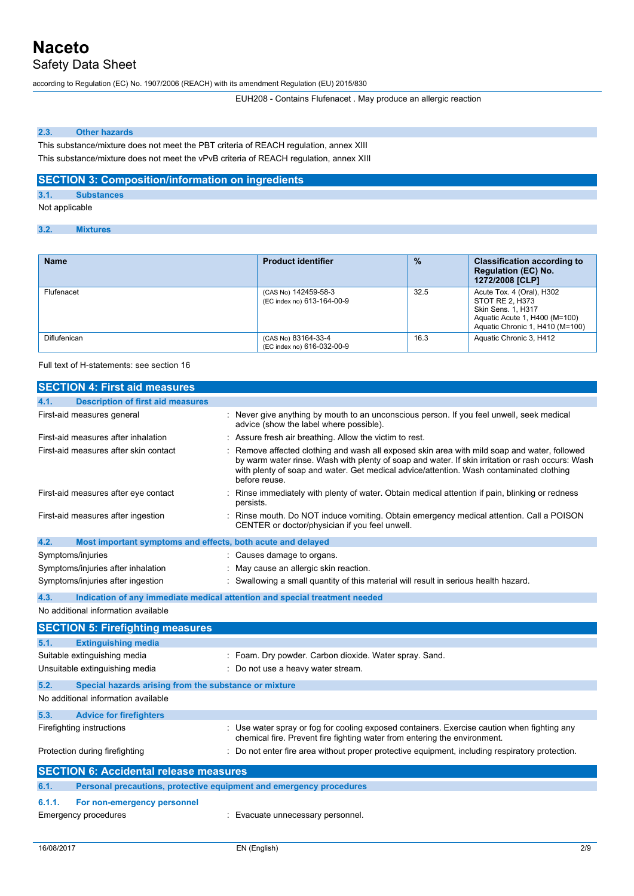Safety Data Sheet

according to Regulation (EC) No. 1907/2006 (REACH) with its amendment Regulation (EU) 2015/830

EUH208 - Contains Flufenacet . May produce an allergic reaction

#### **2.3. Other hazards**

This substance/mixture does not meet the PBT criteria of REACH regulation, annex XIII This substance/mixture does not meet the vPvB criteria of REACH regulation, annex XIII

#### **SECTION 3: Composition/information on ingredients**

**3.1. Substances**

Not applicable

#### **3.2. Mixtures**

| <b>Name</b>  | <b>Product identifier</b>                          | $\frac{9}{6}$ | <b>Classification according to</b><br><b>Regulation (EC) No.</b><br>1272/2008 [CLP]                                                           |
|--------------|----------------------------------------------------|---------------|-----------------------------------------------------------------------------------------------------------------------------------------------|
| Flufenacet   | (CAS No) 142459-58-3<br>(EC index no) 613-164-00-9 | 32.5          | Acute Tox. 4 (Oral), H302<br>STOT RE 2, H373<br><b>Skin Sens. 1. H317</b><br>Aquatic Acute 1, H400 (M=100)<br>Aquatic Chronic 1, H410 (M=100) |
| Diflufenican | (CAS No) 83164-33-4<br>(EC index no) 616-032-00-9  | 16.3          | Aquatic Chronic 3, H412                                                                                                                       |

Full text of H-statements: see section 16

| <b>SECTION 4: First aid measures</b>                                        |                                                                                                                                                                                                                                                                                                            |
|-----------------------------------------------------------------------------|------------------------------------------------------------------------------------------------------------------------------------------------------------------------------------------------------------------------------------------------------------------------------------------------------------|
| <b>Description of first aid measures</b><br>4.1.                            |                                                                                                                                                                                                                                                                                                            |
| First-aid measures general                                                  | : Never give anything by mouth to an unconscious person. If you feel unwell, seek medical<br>advice (show the label where possible).                                                                                                                                                                       |
| First-aid measures after inhalation                                         | Assure fresh air breathing. Allow the victim to rest.                                                                                                                                                                                                                                                      |
| First-aid measures after skin contact                                       | Remove affected clothing and wash all exposed skin area with mild soap and water, followed<br>by warm water rinse. Wash with plenty of soap and water. If skin irritation or rash occurs: Wash<br>with plenty of soap and water. Get medical advice/attention. Wash contaminated clothing<br>before reuse. |
| First-aid measures after eye contact                                        | Rinse immediately with plenty of water. Obtain medical attention if pain, blinking or redness<br>persists.                                                                                                                                                                                                 |
| First-aid measures after ingestion                                          | : Rinse mouth. Do NOT induce vomiting. Obtain emergency medical attention. Call a POISON<br>CENTER or doctor/physician if you feel unwell.                                                                                                                                                                 |
| 4.2.<br>Most important symptoms and effects, both acute and delayed         |                                                                                                                                                                                                                                                                                                            |
| Symptoms/injuries                                                           | : Causes damage to organs.                                                                                                                                                                                                                                                                                 |
| Symptoms/injuries after inhalation                                          | May cause an allergic skin reaction.                                                                                                                                                                                                                                                                       |
| Symptoms/injuries after ingestion                                           | : Swallowing a small quantity of this material will result in serious health hazard.                                                                                                                                                                                                                       |
| 4.3.                                                                        | Indication of any immediate medical attention and special treatment needed                                                                                                                                                                                                                                 |
| No additional information available                                         |                                                                                                                                                                                                                                                                                                            |
| <b>SECTION 5: Firefighting measures</b>                                     |                                                                                                                                                                                                                                                                                                            |
| 5.1.<br><b>Extinguishing media</b>                                          |                                                                                                                                                                                                                                                                                                            |
| Suitable extinguishing media                                                | : Foam. Dry powder. Carbon dioxide. Water spray. Sand.                                                                                                                                                                                                                                                     |
| Unsuitable extinguishing media                                              | Do not use a heavy water stream.                                                                                                                                                                                                                                                                           |
| 5.2.<br>Special hazards arising from the substance or mixture               |                                                                                                                                                                                                                                                                                                            |
| No additional information available                                         |                                                                                                                                                                                                                                                                                                            |
| 5.3.<br><b>Advice for firefighters</b>                                      |                                                                                                                                                                                                                                                                                                            |
| Firefighting instructions                                                   | : Use water spray or fog for cooling exposed containers. Exercise caution when fighting any<br>chemical fire. Prevent fire fighting water from entering the environment.                                                                                                                                   |
| Protection during firefighting                                              | : Do not enter fire area without proper protective equipment, including respiratory protection.                                                                                                                                                                                                            |
| <b>SECTION 6: Accidental release measures</b>                               |                                                                                                                                                                                                                                                                                                            |
| Personal precautions, protective equipment and emergency procedures<br>6.1. |                                                                                                                                                                                                                                                                                                            |
| 6.1.1.<br>For non-emergency personnel                                       |                                                                                                                                                                                                                                                                                                            |
| <b>Emergency procedures</b>                                                 | : Evacuate unnecessary personnel.                                                                                                                                                                                                                                                                          |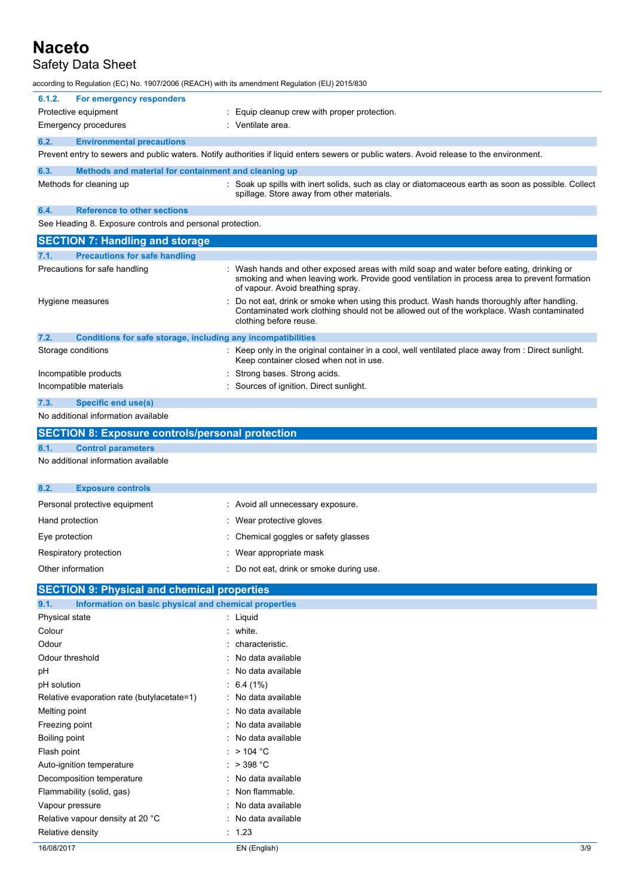### Safety Data Sheet

according to Regulation (EC) No. 1907/2006 (REACH) with its amendment R

| according to Regulation (EC) No. 1907/2006 (REACH) with its amendment Regulation (EU) 2015/830. |                                                                                                                                                                                                                               |
|-------------------------------------------------------------------------------------------------|-------------------------------------------------------------------------------------------------------------------------------------------------------------------------------------------------------------------------------|
| For emergency responders<br>6.1.2.<br>Protective equipment                                      | Equip cleanup crew with proper protection.                                                                                                                                                                                    |
| <b>Emergency procedures</b>                                                                     | : Ventilate area.                                                                                                                                                                                                             |
| 6.2.<br><b>Environmental precautions</b>                                                        |                                                                                                                                                                                                                               |
|                                                                                                 | Prevent entry to sewers and public waters. Notify authorities if liquid enters sewers or public waters. Avoid release to the environment.                                                                                     |
| 6.3.<br>Methods and material for containment and cleaning up                                    |                                                                                                                                                                                                                               |
| Methods for cleaning up                                                                         | : Soak up spills with inert solids, such as clay or diatomaceous earth as soon as possible. Collect<br>spillage. Store away from other materials.                                                                             |
| <b>Reference to other sections</b><br>6.4.                                                      |                                                                                                                                                                                                                               |
| See Heading 8. Exposure controls and personal protection.                                       |                                                                                                                                                                                                                               |
| <b>SECTION 7: Handling and storage</b>                                                          |                                                                                                                                                                                                                               |
| <b>Precautions for safe handling</b><br>7.1.                                                    |                                                                                                                                                                                                                               |
| Precautions for safe handling                                                                   | : Wash hands and other exposed areas with mild soap and water before eating, drinking or<br>smoking and when leaving work. Provide good ventilation in process area to prevent formation<br>of vapour. Avoid breathing spray. |
| Hygiene measures                                                                                | Do not eat, drink or smoke when using this product. Wash hands thoroughly after handling.<br>Contaminated work clothing should not be allowed out of the workplace. Wash contaminated<br>clothing before reuse.               |
| Conditions for safe storage, including any incompatibilities<br>7.2.                            |                                                                                                                                                                                                                               |
| Storage conditions                                                                              | : Keep only in the original container in a cool, well ventilated place away from : Direct sunlight.<br>Keep container closed when not in use.                                                                                 |
| Incompatible products                                                                           | Strong bases. Strong acids.                                                                                                                                                                                                   |
| Incompatible materials                                                                          | : Sources of ignition. Direct sunlight.                                                                                                                                                                                       |
| <b>Specific end use(s)</b><br>7.3.                                                              |                                                                                                                                                                                                                               |
| No additional information available                                                             |                                                                                                                                                                                                                               |

| <b>SECTION 8: Exposure controls/personal protection</b> |                           |  |
|---------------------------------------------------------|---------------------------|--|
| 8.1.                                                    | <b>Control parameters</b> |  |
| No additional information available                     |                           |  |
|                                                         |                           |  |
| 8.2.                                                    | <b>Exposure controls</b>  |  |

| Personal protective equipment | : Avoid all unnecessary exposure.      |
|-------------------------------|----------------------------------------|
| Hand protection               | : Wear protective gloves               |
| Eye protection                | : Chemical goggles or safety glasses   |
| Respiratory protection        | : Wear appropriate mask                |
| Other information             | Do not eat, drink or smoke during use. |

| <b>SECTION 9: Physical and chemical properties</b>            |                       |     |  |
|---------------------------------------------------------------|-----------------------|-----|--|
| Information on basic physical and chemical properties<br>9.1. |                       |     |  |
| Physical state                                                | $:$ Liquid            |     |  |
| Colour                                                        | : white.              |     |  |
| Odour                                                         | characteristic.       |     |  |
| Odour threshold                                               | : No data available   |     |  |
| рH                                                            | : No data available   |     |  |
| pH solution                                                   | $\therefore$ 6.4 (1%) |     |  |
| Relative evaporation rate (butylacetate=1)                    | : No data available   |     |  |
| Melting point                                                 | : No data available   |     |  |
| Freezing point                                                | : No data available   |     |  |
| Boiling point                                                 | : No data available   |     |  |
| Flash point                                                   | : $> 104 °C$          |     |  |
| Auto-ignition temperature                                     | : $>$ 398 °C          |     |  |
| Decomposition temperature                                     | : No data available   |     |  |
| Flammability (solid, gas)                                     | : Non flammable.      |     |  |
| Vapour pressure                                               | : No data available   |     |  |
| Relative vapour density at 20 °C                              | : No data available   |     |  |
| Relative density                                              | : 1.23                |     |  |
| 16/08/2017                                                    | EN (English)          | 3/9 |  |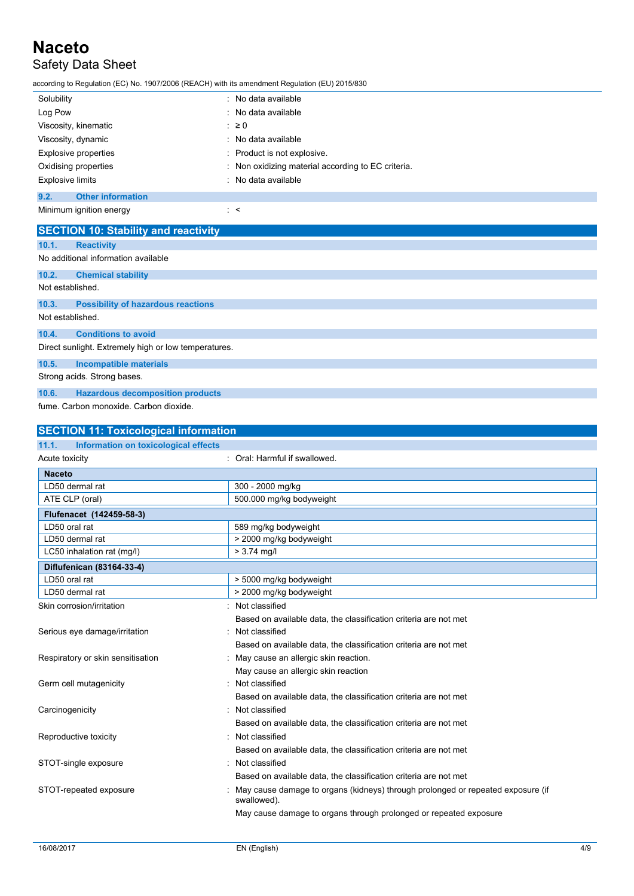### Safety Data Sheet

according to Regulation (EC) No. 1907/2006 (REACH) with its amendment Regulation (EU) 2015/830

| Solubility                       | : No data available                                |
|----------------------------------|----------------------------------------------------|
| Log Pow                          | : No data available                                |
| Viscosity, kinematic             | $\therefore$ 20                                    |
| Viscosity, dynamic               | : No data available                                |
| Explosive properties             | Product is not explosive.                          |
| Oxidising properties             | : Non oxidizing material according to EC criteria. |
| Explosive limits                 | : No data available                                |
| 9.2.<br><b>Other information</b> |                                                    |
| Minimum ignition energy          | $\sim$                                             |

**SECTION 10: Stability and reactivity 10.1. Reactivity** No additional information available **10.2. Chemical stability** Not established. **10.3. Possibility of hazardous reactions** Not established. **10.4. Conditions to avoid** Direct sunlight. Extremely high or low temperatures. **10.5. Incompatible materials** Strong acids. Strong bases.

**10.6. Hazardous decomposition products**

fume. Carbon monoxide. Carbon dioxide.

| <b>SECTION 11: Toxicological information</b>  |                                                                                                |  |
|-----------------------------------------------|------------------------------------------------------------------------------------------------|--|
| 11.1.<br>Information on toxicological effects |                                                                                                |  |
| Acute toxicity                                | : Oral: Harmful if swallowed.                                                                  |  |
| <b>Naceto</b>                                 |                                                                                                |  |
| LD50 dermal rat                               | 300 - 2000 mg/kg                                                                               |  |
| ATE CLP (oral)                                | 500.000 mg/kg bodyweight                                                                       |  |
| Flufenacet (142459-58-3)                      |                                                                                                |  |
| LD50 oral rat                                 | 589 mg/kg bodyweight                                                                           |  |
| LD50 dermal rat                               | > 2000 mg/kg bodyweight                                                                        |  |
| LC50 inhalation rat (mg/l)                    | $> 3.74$ mg/l                                                                                  |  |
| Diflufenican (83164-33-4)                     |                                                                                                |  |
| LD50 oral rat                                 | > 5000 mg/kg bodyweight                                                                        |  |
| LD50 dermal rat                               | > 2000 mg/kg bodyweight                                                                        |  |
| Skin corrosion/irritation                     | Not classified                                                                                 |  |
|                                               | Based on available data, the classification criteria are not met                               |  |
| Serious eye damage/irritation                 | Not classified                                                                                 |  |
|                                               | Based on available data, the classification criteria are not met                               |  |
| Respiratory or skin sensitisation             | May cause an allergic skin reaction.                                                           |  |
|                                               | May cause an allergic skin reaction                                                            |  |
| Germ cell mutagenicity                        | Not classified                                                                                 |  |
|                                               | Based on available data, the classification criteria are not met                               |  |
| Carcinogenicity                               | Not classified                                                                                 |  |
|                                               | Based on available data, the classification criteria are not met                               |  |
| Reproductive toxicity                         | Not classified                                                                                 |  |
|                                               | Based on available data, the classification criteria are not met                               |  |
| STOT-single exposure                          | Not classified                                                                                 |  |
|                                               | Based on available data, the classification criteria are not met                               |  |
| STOT-repeated exposure                        | May cause damage to organs (kidneys) through prolonged or repeated exposure (if<br>swallowed). |  |
|                                               | May cause damage to organs through prolonged or repeated exposure                              |  |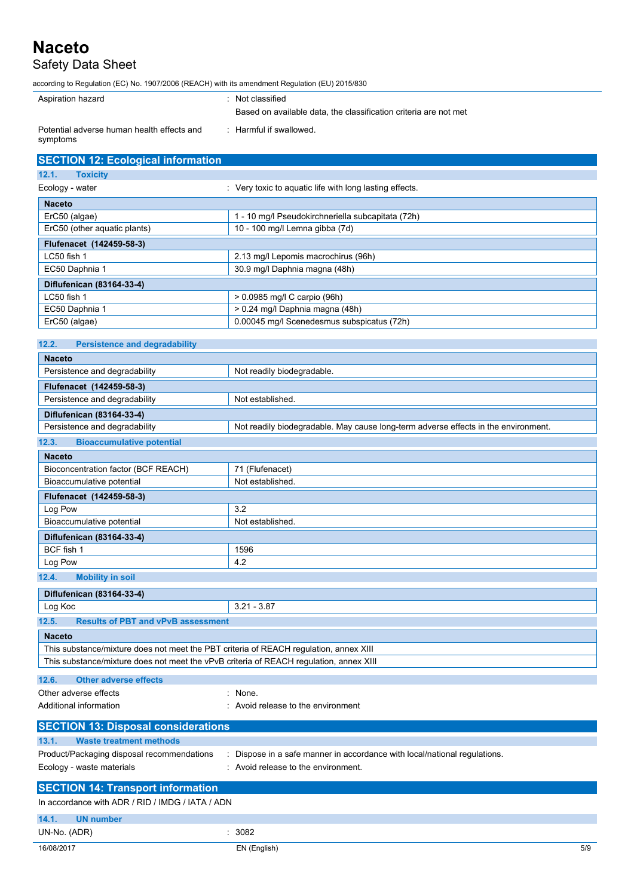### **Naceto** Safety Data Sheet

according to Regulation (EC) No. 1907/2006 (REACH) with its amendment Regulation (EU) 2015/830

| Aspiration hazard                                      | : Not classified                                                 |
|--------------------------------------------------------|------------------------------------------------------------------|
|                                                        | Based on available data, the classification criteria are not met |
| Potential adverse human health effects and<br>symptoms | : Harmful if swallowed.                                          |

| <b>SECTION 12: Ecological information</b> |                                                       |
|-------------------------------------------|-------------------------------------------------------|
| 12.1.<br><b>Toxicity</b>                  |                                                       |
| Ecology - water                           | Very toxic to aquatic life with long lasting effects. |
| <b>Naceto</b>                             |                                                       |
| ErC50 (algae)                             | 1 - 10 mg/l Pseudokirchneriella subcapitata (72h)     |
| ErC50 (other aquatic plants)              | 10 - 100 mg/l Lemna gibba (7d)                        |
| Flufenacet (142459-58-3)                  |                                                       |
| LC50 fish 1                               | 2.13 mg/l Lepomis macrochirus (96h)                   |
| EC50 Daphnia 1                            | 30.9 mg/l Daphnia magna (48h)                         |
| Diflufenican (83164-33-4)                 |                                                       |
| LC50 fish 1                               | > 0.0985 mg/l C carpio (96h)                          |
| EC50 Daphnia 1                            | > 0.24 mg/l Daphnia magna (48h)                       |
| ErC50 (algae)                             | 0.00045 mg/l Scenedesmus subspicatus (72h)            |

| 12.2.<br><b>Persistence and degradability</b>                                          |                                                                                    |  |
|----------------------------------------------------------------------------------------|------------------------------------------------------------------------------------|--|
| <b>Naceto</b>                                                                          |                                                                                    |  |
| Persistence and degradability                                                          | Not readily biodegradable.                                                         |  |
| Flufenacet (142459-58-3)                                                               |                                                                                    |  |
| Persistence and degradability                                                          | Not established.                                                                   |  |
| Diflufenican (83164-33-4)                                                              |                                                                                    |  |
| Persistence and degradability                                                          | Not readily biodegradable. May cause long-term adverse effects in the environment. |  |
| 12.3.<br><b>Bioaccumulative potential</b>                                              |                                                                                    |  |
| <b>Naceto</b>                                                                          |                                                                                    |  |
| Bioconcentration factor (BCF REACH)                                                    | 71 (Flufenacet)                                                                    |  |
| Bioaccumulative potential                                                              | Not established.                                                                   |  |
| Flufenacet (142459-58-3)                                                               |                                                                                    |  |
| Log Pow                                                                                | 3.2                                                                                |  |
| Bioaccumulative potential                                                              | Not established.                                                                   |  |
| Diflufenican (83164-33-4)                                                              |                                                                                    |  |
| BCF fish 1                                                                             | 1596                                                                               |  |
| Log Pow                                                                                | 4.2                                                                                |  |
| 12.4.<br><b>Mobility in soil</b>                                                       |                                                                                    |  |
| Diflufenican (83164-33-4)                                                              |                                                                                    |  |
| Log Koc                                                                                | $3.21 - 3.87$                                                                      |  |
| <b>Results of PBT and vPvB assessment</b><br>12.5.                                     |                                                                                    |  |
| <b>Naceto</b>                                                                          |                                                                                    |  |
| This substance/mixture does not meet the PBT criteria of REACH regulation, annex XIII  |                                                                                    |  |
| This substance/mixture does not meet the vPvB criteria of REACH regulation, annex XIII |                                                                                    |  |
| 12.6.<br><b>Other adverse effects</b>                                                  |                                                                                    |  |
| Other adverse effects                                                                  | None.                                                                              |  |
| Additional information                                                                 | Avoid release to the environment                                                   |  |
|                                                                                        |                                                                                    |  |
| <b>SECTION 13: Disposal considerations</b>                                             |                                                                                    |  |
| <b>Waste treatment methods</b><br>13.1.                                                |                                                                                    |  |
| Product/Packaging disposal recommendations                                             | : Dispose in a safe manner in accordance with local/national regulations.          |  |
| Ecology - waste materials                                                              | : Avoid release to the environment.                                                |  |
| <b>SECTION 14: Transport information</b>                                               |                                                                                    |  |
| In accordance with ADR / RID / IMDG / IATA / ADN                                       |                                                                                    |  |
| 14.1.<br><b>UN number</b>                                                              |                                                                                    |  |
| UN-No. (ADR)                                                                           | : 3082                                                                             |  |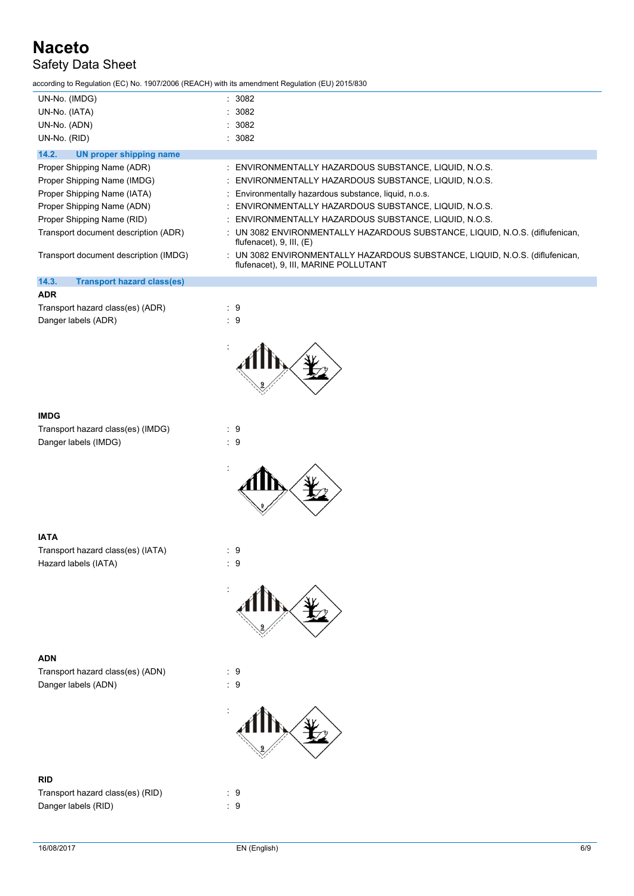### Safety Data Sheet

according to Regulation (EC) No. 1907/2006 (REACH) with its amendment Regulation (EU) 2015/830

| UN-No. (IMDG)<br>UN-No. (IATA)             | : 3082<br>: 3082                                                                                                      |
|--------------------------------------------|-----------------------------------------------------------------------------------------------------------------------|
| UN-No. (ADN)                               | : 3082                                                                                                                |
| UN-No. (RID)                               | : 3082                                                                                                                |
| UN proper shipping name<br>14.2.           |                                                                                                                       |
| Proper Shipping Name (ADR)                 | : ENVIRONMENTALLY HAZARDOUS SUBSTANCE, LIQUID, N.O.S.                                                                 |
| Proper Shipping Name (IMDG)                | : ENVIRONMENTALLY HAZARDOUS SUBSTANCE, LIQUID, N.O.S.                                                                 |
| Proper Shipping Name (IATA)                | : Environmentally hazardous substance, liquid, n.o.s.                                                                 |
| Proper Shipping Name (ADN)                 | : ENVIRONMENTALLY HAZARDOUS SUBSTANCE, LIQUID, N.O.S.                                                                 |
| Proper Shipping Name (RID)                 | : ENVIRONMENTALLY HAZARDOUS SUBSTANCE, LIQUID, N.O.S.                                                                 |
| Transport document description (ADR)       | : UN 3082 ENVIRONMENTALLY HAZARDOUS SUBSTANCE, LIQUID, N.O.S. (diflufenican,<br>flufenacet), $9$ , III, $(E)$         |
| Transport document description (IMDG)      | : UN 3082 ENVIRONMENTALLY HAZARDOUS SUBSTANCE, LIQUID, N.O.S. (diflufenican,<br>flufenacet), 9, III, MARINE POLLUTANT |
| 14.3.<br><b>Transport hazard class(es)</b> |                                                                                                                       |
| <b>ADR</b>                                 |                                                                                                                       |

| Transport hazard class(es) (ADR) | : 9 |  |
|----------------------------------|-----|--|
| Danger labels (ADR)              | : 9 |  |



#### **IMDG**

| Transport hazard class(es) (IMDG) | : 9 |  |
|-----------------------------------|-----|--|
| Danger labels (IMDG)              | : 9 |  |



#### **IATA**

Transport hazard class(es) (IATA) : 9 Hazard labels (IATA)  $\qquad \qquad : 9$ 



#### **ADN**

Transport hazard class(es) (ADN) : 9 Danger labels (ADN)  $\qquad \qquad : 9$ 



#### **RID**

Transport hazard class(es) (RID) : 9 Danger labels (RID) 32 and 32 and 32 and 33 and 33 and 34 and 35 and 36 and 36 and 36 and 36 and 36 and 36 and 36 and 36 and 36 and 36 and 37 and 37 and 37 and 37 and 37 and 37 and 37 and 37 and 37 and 37 and 37 and 37 and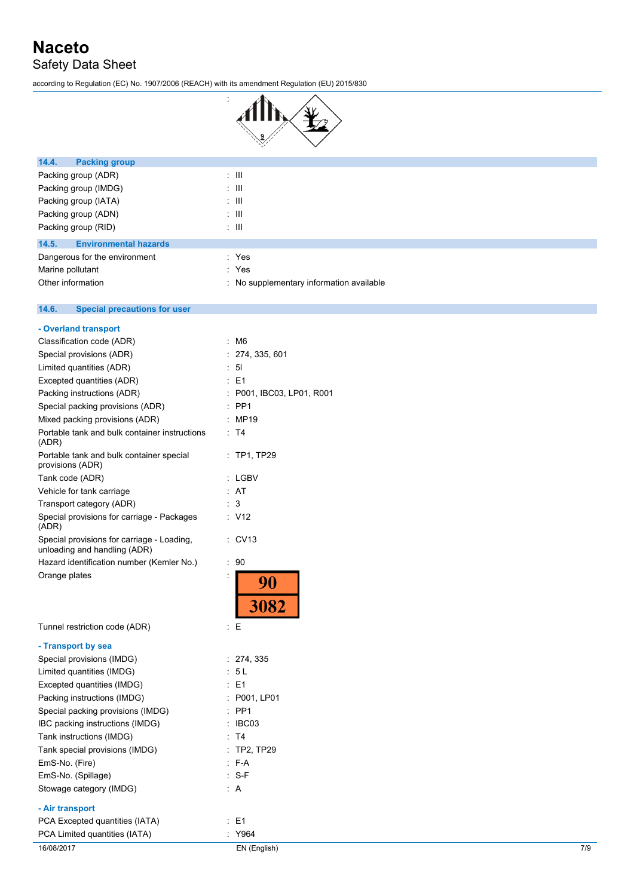### **Naceto** Safety Data Sheet

 $14.6.$ 

**14.6. Special precautions for user**

according to Regulation (EC) No. 1907/2006 (REACH) with its amendment Regulation (EU) 2015/830



| 14.4.<br><b>Packing group</b>         |                                          |
|---------------------------------------|------------------------------------------|
| Packing group (ADR)                   | $\pm$ 111                                |
| Packing group (IMDG)                  | ÷ III                                    |
| Packing group (IATA)                  | ÷ III                                    |
| Packing group (ADN)                   | $\pm$ 111                                |
| Packing group (RID)                   | $\pm$ 111                                |
| <b>Environmental hazards</b><br>14.5. |                                          |
| Dangerous for the environment         | : Yes                                    |
| Marine pollutant                      | : Yes                                    |
| Other information                     | : No supplementary information available |
|                                       |                                          |

| - Overland transport                                                       |                            |
|----------------------------------------------------------------------------|----------------------------|
| Classification code (ADR)                                                  | t<br>M6                    |
| Special provisions (ADR)                                                   | : 274, 335, 601            |
| Limited quantities (ADR)                                                   | : 51                       |
| Excepted quantities (ADR)                                                  | E1<br>t                    |
| Packing instructions (ADR)                                                 | P001, IBC03, LP01, R001    |
| Special packing provisions (ADR)                                           | PP <sub>1</sub>            |
| Mixed packing provisions (ADR)                                             | : MP19                     |
| Portable tank and bulk container instructions<br>(ADR)                     | : T4                       |
| Portable tank and bulk container special<br>provisions (ADR)               | $:$ TP1, TP29              |
| Tank code (ADR)                                                            | : LGBV                     |
| Vehicle for tank carriage                                                  | : AT                       |
| Transport category (ADR)                                                   | $\mathbf{3}$               |
| Special provisions for carriage - Packages<br>(ADR)                        | V12                        |
| Special provisions for carriage - Loading,<br>unloading and handling (ADR) | CV13                       |
| Hazard identification number (Kemler No.)                                  | 90<br>$\ddot{\phantom{a}}$ |
| Orange plates                                                              | İ<br>90<br>3082            |
| Tunnel restriction code (ADR)                                              | ÷<br>E                     |
| - Transport by sea                                                         |                            |
| Special provisions (IMDG)                                                  | : 274, 335                 |
| Limited quantities (IMDG)                                                  | - 5 L                      |
| Excepted quantities (IMDG)                                                 | E1                         |
| Packing instructions (IMDG)                                                | P001, LP01                 |
| Special packing provisions (IMDG)                                          | PP <sub>1</sub>            |
| IBC packing instructions (IMDG)                                            | IBC03                      |
| Tank instructions (IMDG)                                                   | T <sub>4</sub>             |
| Tank special provisions (IMDG)                                             | $:$ TP2, TP29              |
| EmS-No. (Fire)                                                             | $F-A$                      |
| EmS-No. (Spillage)                                                         | $-S-F$                     |
| Stowage category (IMDG)                                                    | : A                        |
| - Air transport                                                            |                            |

### PCA Excepted quantities (IATA) : E1

| PCA Limited quantities (IATA) | Y964         |     |
|-------------------------------|--------------|-----|
| 16/08/2017                    | ⊂N (English) | 7/9 |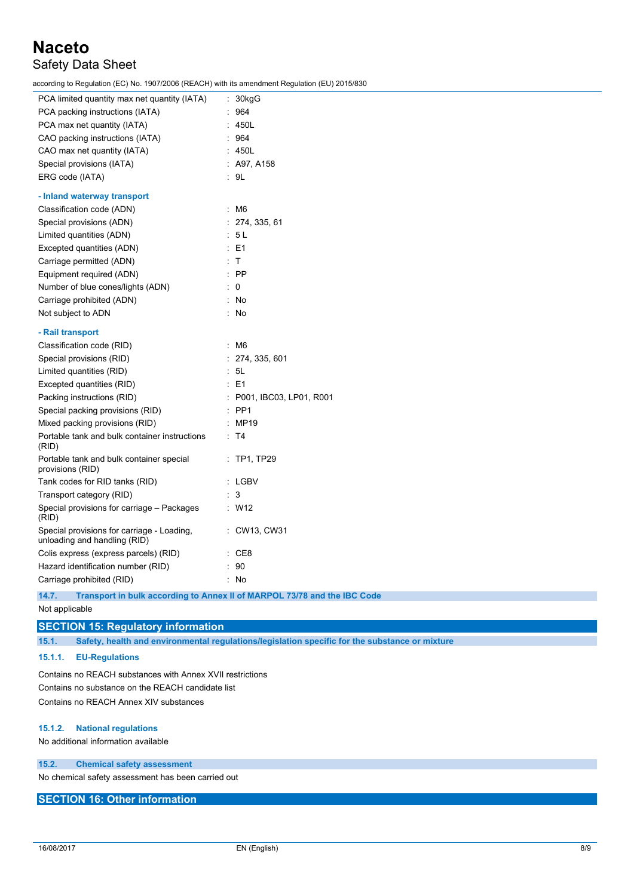### Safety Data Sheet

according to Regulation (EC) No. 1907/2006 (REACH) with its amendment Regulation (EU) 2015/830

| PCA limited quantity max net quantity (IATA)                               | : 30kgG                                                                      |
|----------------------------------------------------------------------------|------------------------------------------------------------------------------|
| PCA packing instructions (IATA)                                            | : 964                                                                        |
| PCA max net quantity (IATA)                                                | : 450L                                                                       |
| CAO packing instructions (IATA)                                            | 964                                                                          |
| CAO max net quantity (IATA)                                                | 450L                                                                         |
| Special provisions (IATA)                                                  | : A97, A158                                                                  |
| ERG code (IATA)                                                            | : 9L                                                                         |
| - Inland waterway transport                                                |                                                                              |
| Classification code (ADN)                                                  | $\therefore$ M6                                                              |
| Special provisions (ADN)                                                   | : 274, 335, 61                                                               |
| Limited quantities (ADN)                                                   | 5L                                                                           |
| Excepted quantities (ADN)                                                  | $E = 1$                                                                      |
| Carriage permitted (ADN)                                                   | : T                                                                          |
| Equipment required (ADN)                                                   | $:$ PP                                                                       |
| Number of blue cones/lights (ADN)                                          | $\overline{0}$                                                               |
| Carriage prohibited (ADN)                                                  | No                                                                           |
| Not subject to ADN                                                         | : No                                                                         |
| - Rail transport                                                           |                                                                              |
| Classification code (RID)                                                  | ~M6                                                                          |
| Special provisions (RID)                                                   | 274, 335, 601                                                                |
| Limited quantities (RID)                                                   | : 5L                                                                         |
| Excepted quantities (RID)                                                  | : E1                                                                         |
| Packing instructions (RID)                                                 | : P001, IBC03, LP01, R001                                                    |
| Special packing provisions (RID)                                           | $:$ PP1                                                                      |
| Mixed packing provisions (RID)                                             | : MP19                                                                       |
| Portable tank and bulk container instructions<br>(RID)                     | : T4                                                                         |
| Portable tank and bulk container special<br>provisions (RID)               | $:$ TP1, TP29                                                                |
| Tank codes for RID tanks (RID)                                             | : LGBV                                                                       |
| Transport category (RID)                                                   | $\therefore$ 3                                                               |
| Special provisions for carriage - Packages<br>(RID)                        | : W12                                                                        |
| Special provisions for carriage - Loading,<br>unloading and handling (RID) | : CW13, CW31                                                                 |
| Colis express (express parcels) (RID)                                      | $\therefore$ CE8                                                             |
| Hazard identification number (RID)                                         | $\therefore$ 90                                                              |
| Carriage prohibited (RID)                                                  | : No                                                                         |
| $\overline{A}$ $\overline{A}$ $\overline{B}$                               | Thomas and in built a seconding to Amperill of MADDOL 70/70 and the IDO Onde |

**14.7. Transport in bulk according to Annex II of MARPOL 73/78 and the IBC Code**

Not applicable

#### **SECTION 15: Regulatory information**

**15.1. Safety, health and environmental regulations/legislation specific for the substance or mixture**

#### **15.1.1. EU-Regulations**

Contains no REACH substances with Annex XVII restrictions Contains no substance on the REACH candidate list Contains no REACH Annex XIV substances

#### **15.1.2. National regulations**

No additional information available

#### **15.2. Chemical safety assessment**

No chemical safety assessment has been carried out

#### **SECTION 16: Other information**